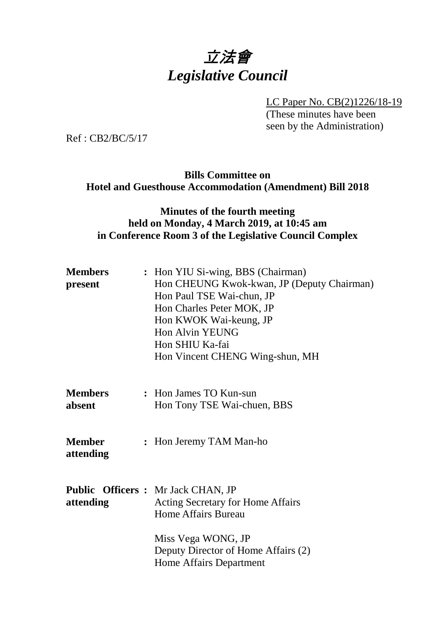# 立法會 *Legislative Council*

LC Paper No. CB(2)1226/18-19

(These minutes have been seen by the Administration)

Ref : CB2/BC/5/17

#### **Bills Committee on Hotel and Guesthouse Accommodation (Amendment) Bill 2018**

#### **Minutes of the fourth meeting held on Monday, 4 March 2019, at 10:45 am in Conference Room 3 of the Legislative Council Complex**

| <b>Members</b><br>present  | : Hon YIU Si-wing, BBS (Chairman)<br>Hon CHEUNG Kwok-kwan, JP (Deputy Chairman)<br>Hon Paul TSE Wai-chun, JP<br>Hon Charles Peter MOK, JP<br>Hon KWOK Wai-keung, JP<br>Hon Alvin YEUNG<br>Hon SHIU Ka-fai<br>Hon Vincent CHENG Wing-shun, MH |
|----------------------------|----------------------------------------------------------------------------------------------------------------------------------------------------------------------------------------------------------------------------------------------|
| <b>Members</b><br>absent   | : Hon James TO Kun-sun<br>Hon Tony TSE Wai-chuen, BBS                                                                                                                                                                                        |
| <b>Member</b><br>attending | : Hon Jeremy TAM Man-ho                                                                                                                                                                                                                      |
| attending                  | <b>Public Officers:</b> Mr Jack CHAN, JP<br>Acting Secretary for Home Affairs<br>Home Affairs Bureau                                                                                                                                         |
|                            | Miss Vega WONG, JP<br>Deputy Director of Home Affairs (2)<br>Home Affairs Department                                                                                                                                                         |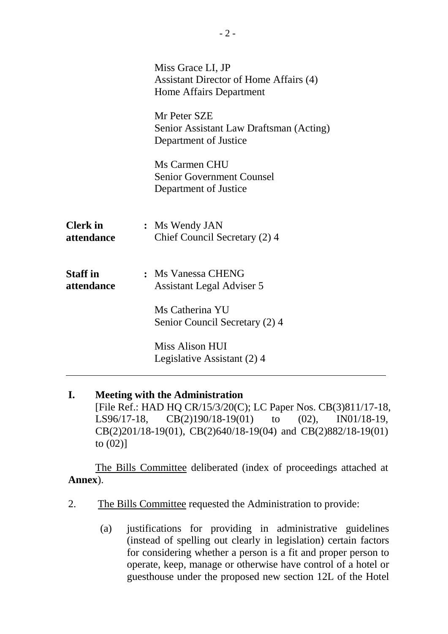|                               | Miss Grace LI, JP<br>Assistant Director of Home Affairs (4)<br>Home Affairs Department |
|-------------------------------|----------------------------------------------------------------------------------------|
|                               | Mr Peter SZE<br>Senior Assistant Law Draftsman (Acting)<br>Department of Justice       |
|                               | Ms Carmen CHU<br><b>Senior Government Counsel</b><br>Department of Justice             |
| <b>Clerk</b> in<br>attendance | : Ms Wendy JAN<br>Chief Council Secretary (2) 4                                        |
| <b>Staff</b> in<br>attendance | : Ms Vanessa CHENG<br>Assistant Legal Adviser 5                                        |
|                               | Ms Catherina YU<br>Senior Council Secretary (2) 4                                      |
|                               | Miss Alison HUI<br>Legislative Assistant (2) 4                                         |

#### **I. Meeting with the Administration** [File Ref.: HAD HQ CR/15/3/20(C); LC Paper Nos. CB(3)811/17-18, LS96/17-18, CB(2)190/18-19(01) to (02), IN01/18-19, CB(2)201/18-19(01), CB(2)640/18-19(04) and CB(2)882/18-19(01)

to  $(02)$ ]

The Bills Committee deliberated (index of proceedings attached at **Annex**).

- 2. The Bills Committee requested the Administration to provide:
	- (a) justifications for providing in administrative guidelines (instead of spelling out clearly in legislation) certain factors for considering whether a person is a fit and proper person to operate, keep, manage or otherwise have control of a hotel or guesthouse under the proposed new section 12L of the Hotel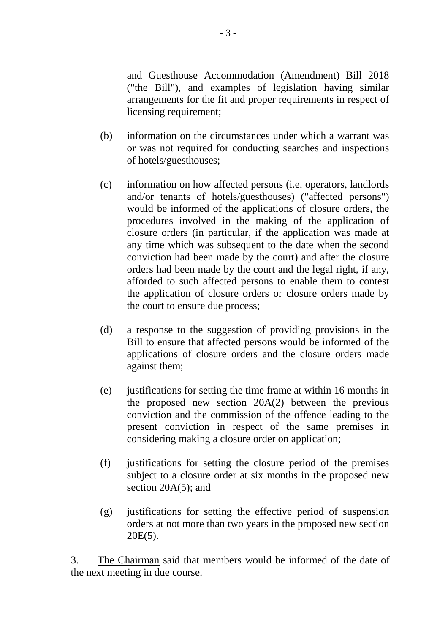and Guesthouse Accommodation (Amendment) Bill 2018 ("the Bill"), and examples of legislation having similar arrangements for the fit and proper requirements in respect of licensing requirement;

- (b) information on the circumstances under which a warrant was or was not required for conducting searches and inspections of hotels/guesthouses;
- (c) information on how affected persons (i.e. operators, landlords and/or tenants of hotels/guesthouses) ("affected persons") would be informed of the applications of closure orders, the procedures involved in the making of the application of closure orders (in particular, if the application was made at any time which was subsequent to the date when the second conviction had been made by the court) and after the closure orders had been made by the court and the legal right, if any, afforded to such affected persons to enable them to contest the application of closure orders or closure orders made by the court to ensure due process;
- (d) a response to the suggestion of providing provisions in the Bill to ensure that affected persons would be informed of the applications of closure orders and the closure orders made against them;
- (e) justifications for setting the time frame at within 16 months in the proposed new section 20A(2) between the previous conviction and the commission of the offence leading to the present conviction in respect of the same premises in considering making a closure order on application;
- (f) justifications for setting the closure period of the premises subject to a closure order at six months in the proposed new section 20A(5); and
- (g) justifications for setting the effective period of suspension orders at not more than two years in the proposed new section  $20E(5)$ .

3. The Chairman said that members would be informed of the date of the next meeting in due course.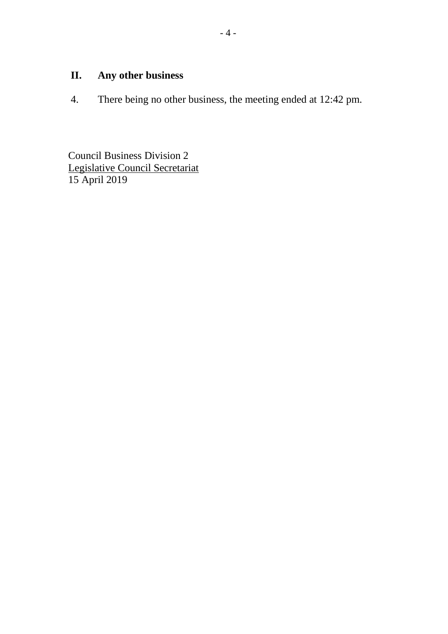## **II. Any other business**

4. There being no other business, the meeting ended at 12:42 pm.

Council Business Division 2 Legislative Council Secretariat 15 April 2019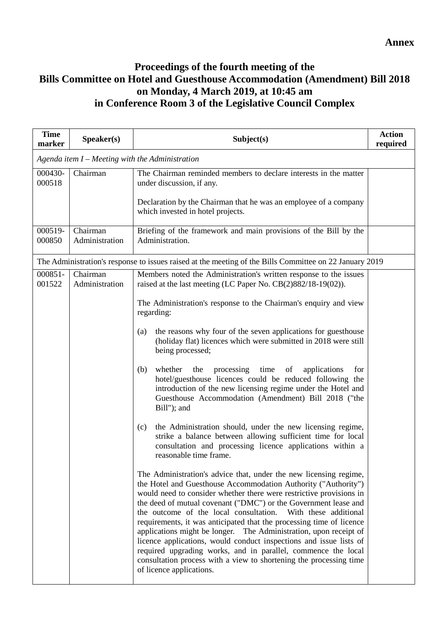### **Proceedings of the fourth meeting of the Bills Committee on Hotel and Guesthouse Accommodation (Amendment) Bill 2018 on Monday, 4 March 2019, at 10:45 am in Conference Room 3 of the Legislative Council Complex**

| <b>Time</b><br>marker | Speaker(s)                 | Subject(s)                                                                                                                                                                                                                                                                                                                                                                                                                                                                                                                                                                                                                                                                                                                             | <b>Action</b><br>required |
|-----------------------|----------------------------|----------------------------------------------------------------------------------------------------------------------------------------------------------------------------------------------------------------------------------------------------------------------------------------------------------------------------------------------------------------------------------------------------------------------------------------------------------------------------------------------------------------------------------------------------------------------------------------------------------------------------------------------------------------------------------------------------------------------------------------|---------------------------|
|                       |                            | Agenda item $I$ – Meeting with the Administration                                                                                                                                                                                                                                                                                                                                                                                                                                                                                                                                                                                                                                                                                      |                           |
| 000430-<br>000518     | Chairman                   | The Chairman reminded members to declare interests in the matter<br>under discussion, if any.                                                                                                                                                                                                                                                                                                                                                                                                                                                                                                                                                                                                                                          |                           |
|                       |                            | Declaration by the Chairman that he was an employee of a company<br>which invested in hotel projects.                                                                                                                                                                                                                                                                                                                                                                                                                                                                                                                                                                                                                                  |                           |
| 000519-<br>000850     | Chairman<br>Administration | Briefing of the framework and main provisions of the Bill by the<br>Administration.                                                                                                                                                                                                                                                                                                                                                                                                                                                                                                                                                                                                                                                    |                           |
|                       |                            | The Administration's response to issues raised at the meeting of the Bills Committee on 22 January 2019                                                                                                                                                                                                                                                                                                                                                                                                                                                                                                                                                                                                                                |                           |
| 000851-<br>001522     | Chairman<br>Administration | Members noted the Administration's written response to the issues<br>raised at the last meeting (LC Paper No. $CB(2)882/18-19(02)$ ).                                                                                                                                                                                                                                                                                                                                                                                                                                                                                                                                                                                                  |                           |
|                       |                            | The Administration's response to the Chairman's enquiry and view<br>regarding:                                                                                                                                                                                                                                                                                                                                                                                                                                                                                                                                                                                                                                                         |                           |
|                       |                            | the reasons why four of the seven applications for guesthouse<br>(a)<br>(holiday flat) licences which were submitted in 2018 were still<br>being processed;                                                                                                                                                                                                                                                                                                                                                                                                                                                                                                                                                                            |                           |
|                       |                            | whether<br>the<br>processing<br>time<br>of<br>(b)<br>applications<br>for<br>hotel/guesthouse licences could be reduced following the<br>introduction of the new licensing regime under the Hotel and<br>Guesthouse Accommodation (Amendment) Bill 2018 ("the<br>Bill"); and                                                                                                                                                                                                                                                                                                                                                                                                                                                            |                           |
|                       |                            | the Administration should, under the new licensing regime,<br>(c)<br>strike a balance between allowing sufficient time for local<br>consultation and processing licence applications within a<br>reasonable time frame.                                                                                                                                                                                                                                                                                                                                                                                                                                                                                                                |                           |
|                       |                            | The Administration's advice that, under the new licensing regime,<br>the Hotel and Guesthouse Accommodation Authority ("Authority")<br>would need to consider whether there were restrictive provisions in<br>the deed of mutual covenant ("DMC") or the Government lease and<br>the outcome of the local consultation.<br>With these additional<br>requirements, it was anticipated that the processing time of licence<br>applications might be longer. The Administration, upon receipt of<br>licence applications, would conduct inspections and issue lists of<br>required upgrading works, and in parallel, commence the local<br>consultation process with a view to shortening the processing time<br>of licence applications. |                           |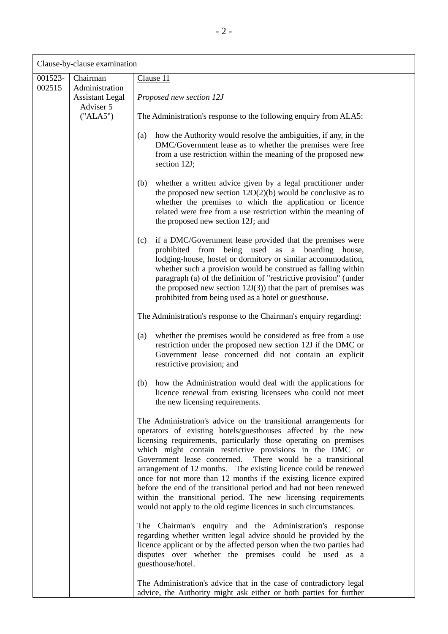| Clause-by-clause examination |                                                      |                                                                                                                                                                                                                                                                                                                                                                                                                                                                                                                                                                                                                                                                                                                                                                                                                                                                                                                                                                         |  |
|------------------------------|------------------------------------------------------|-------------------------------------------------------------------------------------------------------------------------------------------------------------------------------------------------------------------------------------------------------------------------------------------------------------------------------------------------------------------------------------------------------------------------------------------------------------------------------------------------------------------------------------------------------------------------------------------------------------------------------------------------------------------------------------------------------------------------------------------------------------------------------------------------------------------------------------------------------------------------------------------------------------------------------------------------------------------------|--|
| 001523-<br>002515            | Chairman<br>Administration<br><b>Assistant Legal</b> | Clause 11<br>Proposed new section 12J                                                                                                                                                                                                                                                                                                                                                                                                                                                                                                                                                                                                                                                                                                                                                                                                                                                                                                                                   |  |
|                              | Adviser 5<br>("ALA5")                                | The Administration's response to the following enquiry from ALA5:                                                                                                                                                                                                                                                                                                                                                                                                                                                                                                                                                                                                                                                                                                                                                                                                                                                                                                       |  |
|                              |                                                      | how the Authority would resolve the ambiguities, if any, in the<br>(a)<br>DMC/Government lease as to whether the premises were free<br>from a use restriction within the meaning of the proposed new<br>section 12J;                                                                                                                                                                                                                                                                                                                                                                                                                                                                                                                                                                                                                                                                                                                                                    |  |
|                              |                                                      | whether a written advice given by a legal practitioner under<br>(b)<br>the proposed new section $12O(2)(b)$ would be conclusive as to<br>whether the premises to which the application or licence<br>related were free from a use restriction within the meaning of<br>the proposed new section 12J; and                                                                                                                                                                                                                                                                                                                                                                                                                                                                                                                                                                                                                                                                |  |
|                              |                                                      | if a DMC/Government lease provided that the premises were<br>(c)<br>prohibited from being used as a boarding<br>house,<br>lodging-house, hostel or dormitory or similar accommodation,<br>whether such a provision would be construed as falling within<br>paragraph (a) of the definition of "restrictive provision" (under<br>the proposed new section $12J(3)$ ) that the part of premises was<br>prohibited from being used as a hotel or guesthouse.                                                                                                                                                                                                                                                                                                                                                                                                                                                                                                               |  |
|                              |                                                      | The Administration's response to the Chairman's enquiry regarding:                                                                                                                                                                                                                                                                                                                                                                                                                                                                                                                                                                                                                                                                                                                                                                                                                                                                                                      |  |
|                              |                                                      | whether the premises would be considered as free from a use<br>(a)<br>restriction under the proposed new section 12J if the DMC or<br>Government lease concerned did not contain an explicit<br>restrictive provision; and                                                                                                                                                                                                                                                                                                                                                                                                                                                                                                                                                                                                                                                                                                                                              |  |
|                              |                                                      | how the Administration would deal with the applications for<br>(b)<br>licence renewal from existing licensees who could not meet<br>the new licensing requirements.                                                                                                                                                                                                                                                                                                                                                                                                                                                                                                                                                                                                                                                                                                                                                                                                     |  |
|                              |                                                      | The Administration's advice on the transitional arrangements for<br>operators of existing hotels/guesthouses affected by the new<br>licensing requirements, particularly those operating on premises<br>which might contain restrictive provisions in the DMC or<br>Government lease concerned. There would be a transitional<br>arrangement of 12 months. The existing licence could be renewed<br>once for not more than 12 months if the existing licence expired<br>before the end of the transitional period and had not been renewed<br>within the transitional period. The new licensing requirements<br>would not apply to the old regime licences in such circumstances.<br>The Chairman's enquiry and the Administration's response<br>regarding whether written legal advice should be provided by the<br>licence applicant or by the affected person when the two parties had<br>disputes over whether the premises could be used as a<br>guesthouse/hotel. |  |
|                              |                                                      | The Administration's advice that in the case of contradictory legal<br>advice, the Authority might ask either or both parties for further                                                                                                                                                                                                                                                                                                                                                                                                                                                                                                                                                                                                                                                                                                                                                                                                                               |  |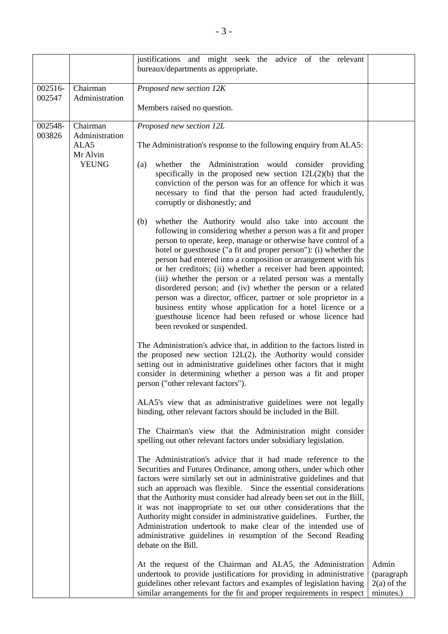|                   |                                                                | justifications and might seek the advice of the relevant<br>bureaux/departments as appropriate.                                                                                                                                                                                                                                                                                                                                                                                                                                                                                                                                                                                                                                                                                                                                                                                                                                                                                                                                                                                                                                                                                                                                                                                                                                                                                                                                                                                                                                                                                                                                                                                                                                                                                                                                                                                                                                                                                                                                                                                                                                                                                                                                                                                                                                                                                                                                     |                                                   |
|-------------------|----------------------------------------------------------------|-------------------------------------------------------------------------------------------------------------------------------------------------------------------------------------------------------------------------------------------------------------------------------------------------------------------------------------------------------------------------------------------------------------------------------------------------------------------------------------------------------------------------------------------------------------------------------------------------------------------------------------------------------------------------------------------------------------------------------------------------------------------------------------------------------------------------------------------------------------------------------------------------------------------------------------------------------------------------------------------------------------------------------------------------------------------------------------------------------------------------------------------------------------------------------------------------------------------------------------------------------------------------------------------------------------------------------------------------------------------------------------------------------------------------------------------------------------------------------------------------------------------------------------------------------------------------------------------------------------------------------------------------------------------------------------------------------------------------------------------------------------------------------------------------------------------------------------------------------------------------------------------------------------------------------------------------------------------------------------------------------------------------------------------------------------------------------------------------------------------------------------------------------------------------------------------------------------------------------------------------------------------------------------------------------------------------------------------------------------------------------------------------------------------------------------|---------------------------------------------------|
| 002516-<br>002547 | Chairman<br>Administration                                     | Proposed new section 12K                                                                                                                                                                                                                                                                                                                                                                                                                                                                                                                                                                                                                                                                                                                                                                                                                                                                                                                                                                                                                                                                                                                                                                                                                                                                                                                                                                                                                                                                                                                                                                                                                                                                                                                                                                                                                                                                                                                                                                                                                                                                                                                                                                                                                                                                                                                                                                                                            |                                                   |
|                   |                                                                | Members raised no question.                                                                                                                                                                                                                                                                                                                                                                                                                                                                                                                                                                                                                                                                                                                                                                                                                                                                                                                                                                                                                                                                                                                                                                                                                                                                                                                                                                                                                                                                                                                                                                                                                                                                                                                                                                                                                                                                                                                                                                                                                                                                                                                                                                                                                                                                                                                                                                                                         |                                                   |
| 002548-<br>003826 | Chairman<br>Administration<br>ALA5<br>Mr Alvin<br><b>YEUNG</b> | Proposed new section 12L<br>The Administration's response to the following enquiry from ALA5:<br>whether the Administration would consider providing<br>(a)<br>specifically in the proposed new section 12L(2)(b) that the<br>conviction of the person was for an offence for which it was<br>necessary to find that the person had acted fraudulently,<br>corruptly or dishonestly; and<br>whether the Authority would also take into account the<br>(b)<br>following in considering whether a person was a fit and proper<br>person to operate, keep, manage or otherwise have control of a<br>hotel or guesthouse ("a fit and proper person"): (i) whether the<br>person had entered into a composition or arrangement with his<br>or her creditors; (ii) whether a receiver had been appointed;<br>(iii) whether the person or a related person was a mentally<br>disordered person; and (iv) whether the person or a related<br>person was a director, officer, partner or sole proprietor in a<br>business entity whose application for a hotel licence or a<br>guesthouse licence had been refused or whose licence had<br>been revoked or suspended.<br>The Administration's advice that, in addition to the factors listed in<br>the proposed new section $12L(2)$ , the Authority would consider<br>setting out in administrative guidelines other factors that it might<br>consider in determining whether a person was a fit and proper<br>person ("other relevant factors").<br>ALA5's view that as administrative guidelines were not legally<br>binding, other relevant factors should be included in the Bill.<br>The Chairman's view that the Administration might consider<br>spelling out other relevant factors under subsidiary legislation.<br>The Administration's advice that it had made reference to the<br>Securities and Futures Ordinance, among others, under which other<br>factors were similarly set out in administrative guidelines and that<br>such an approach was flexible. Since the essential considerations<br>that the Authority must consider had already been set out in the Bill,<br>it was not inappropriate to set out other considerations that the<br>Authority might consider in administrative guidelines. Further, the<br>Administration undertook to make clear of the intended use of<br>administrative guidelines in resumption of the Second Reading<br>debate on the Bill. |                                                   |
|                   |                                                                | At the request of the Chairman and ALA5, the Administration<br>undertook to provide justifications for providing in administrative<br>guidelines other relevant factors and examples of legislation having<br>similar arrangements for the fit and proper requirements in respect                                                                                                                                                                                                                                                                                                                                                                                                                                                                                                                                                                                                                                                                                                                                                                                                                                                                                                                                                                                                                                                                                                                                                                                                                                                                                                                                                                                                                                                                                                                                                                                                                                                                                                                                                                                                                                                                                                                                                                                                                                                                                                                                                   | Admin<br>(paragraph<br>$2(a)$ of the<br>minutes.) |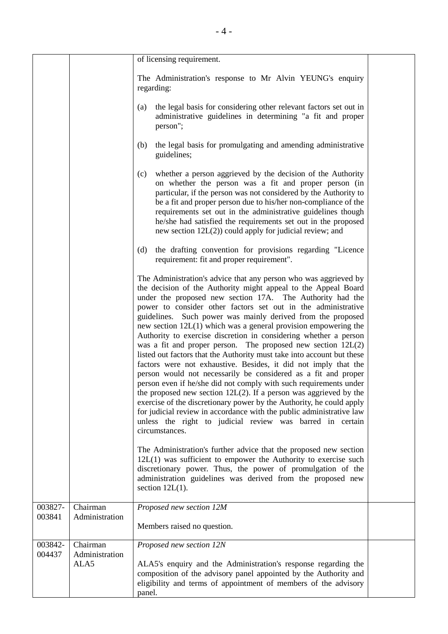|                   |                                    | of licensing requirement.                                                                                                                                                                                                                                                                                                                                                                                                                                                                                                                                                                                                                                                                                                                                                                                                                                                                                                                                                                                                                                                                                                                                                                                  |  |
|-------------------|------------------------------------|------------------------------------------------------------------------------------------------------------------------------------------------------------------------------------------------------------------------------------------------------------------------------------------------------------------------------------------------------------------------------------------------------------------------------------------------------------------------------------------------------------------------------------------------------------------------------------------------------------------------------------------------------------------------------------------------------------------------------------------------------------------------------------------------------------------------------------------------------------------------------------------------------------------------------------------------------------------------------------------------------------------------------------------------------------------------------------------------------------------------------------------------------------------------------------------------------------|--|
|                   |                                    | The Administration's response to Mr Alvin YEUNG's enquiry<br>regarding:                                                                                                                                                                                                                                                                                                                                                                                                                                                                                                                                                                                                                                                                                                                                                                                                                                                                                                                                                                                                                                                                                                                                    |  |
|                   |                                    | the legal basis for considering other relevant factors set out in<br>(a)<br>administrative guidelines in determining "a fit and proper<br>person";                                                                                                                                                                                                                                                                                                                                                                                                                                                                                                                                                                                                                                                                                                                                                                                                                                                                                                                                                                                                                                                         |  |
|                   |                                    | the legal basis for promulgating and amending administrative<br>(b)<br>guidelines;                                                                                                                                                                                                                                                                                                                                                                                                                                                                                                                                                                                                                                                                                                                                                                                                                                                                                                                                                                                                                                                                                                                         |  |
|                   |                                    | whether a person aggrieved by the decision of the Authority<br>(c)<br>on whether the person was a fit and proper person (in<br>particular, if the person was not considered by the Authority to<br>be a fit and proper person due to his/her non-compliance of the<br>requirements set out in the administrative guidelines though<br>he/she had satisfied the requirements set out in the proposed<br>new section $12L(2)$ ) could apply for judicial review; and                                                                                                                                                                                                                                                                                                                                                                                                                                                                                                                                                                                                                                                                                                                                         |  |
|                   |                                    | the drafting convention for provisions regarding "Licence<br>(d)<br>requirement: fit and proper requirement".                                                                                                                                                                                                                                                                                                                                                                                                                                                                                                                                                                                                                                                                                                                                                                                                                                                                                                                                                                                                                                                                                              |  |
|                   |                                    | The Administration's advice that any person who was aggrieved by<br>the decision of the Authority might appeal to the Appeal Board<br>under the proposed new section 17A. The Authority had the<br>power to consider other factors set out in the administrative<br>guidelines. Such power was mainly derived from the proposed<br>new section $12L(1)$ which was a general provision empowering the<br>Authority to exercise discretion in considering whether a person<br>was a fit and proper person. The proposed new section $12L(2)$<br>listed out factors that the Authority must take into account but these<br>factors were not exhaustive. Besides, it did not imply that the<br>person would not necessarily be considered as a fit and proper<br>person even if he/she did not comply with such requirements under<br>the proposed new section $12L(2)$ . If a person was aggrieved by the<br>exercise of the discretionary power by the Authority, he could apply<br>for judicial review in accordance with the public administrative law<br>unless the right to judicial review was barred in certain<br>circumstances.<br>The Administration's further advice that the proposed new section |  |
|                   |                                    | $12L(1)$ was sufficient to empower the Authority to exercise such<br>discretionary power. Thus, the power of promulgation of the<br>administration guidelines was derived from the proposed new<br>section $12L(1)$ .                                                                                                                                                                                                                                                                                                                                                                                                                                                                                                                                                                                                                                                                                                                                                                                                                                                                                                                                                                                      |  |
| 003827-<br>003841 | Chairman<br>Administration         | Proposed new section 12M<br>Members raised no question.                                                                                                                                                                                                                                                                                                                                                                                                                                                                                                                                                                                                                                                                                                                                                                                                                                                                                                                                                                                                                                                                                                                                                    |  |
| 003842-<br>004437 | Chairman<br>Administration<br>ALA5 | Proposed new section 12N<br>ALA5's enquiry and the Administration's response regarding the<br>composition of the advisory panel appointed by the Authority and<br>eligibility and terms of appointment of members of the advisory<br>panel.                                                                                                                                                                                                                                                                                                                                                                                                                                                                                                                                                                                                                                                                                                                                                                                                                                                                                                                                                                |  |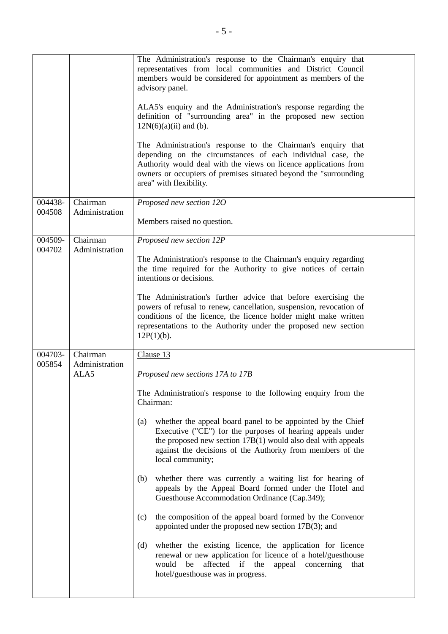|                   |                                    | The Administration's response to the Chairman's enquiry that<br>representatives from local communities and District Council<br>members would be considered for appointment as members of the<br>advisory panel.<br>ALA5's enquiry and the Administration's response regarding the<br>definition of "surrounding area" in the proposed new section<br>$12N(6)(a)(ii)$ and (b).<br>The Administration's response to the Chairman's enquiry that<br>depending on the circumstances of each individual case, the<br>Authority would deal with the views on licence applications from<br>owners or occupiers of premises situated beyond the "surrounding<br>area" with flexibility.                                                                                                                                                                                                                                                                                        |  |
|-------------------|------------------------------------|------------------------------------------------------------------------------------------------------------------------------------------------------------------------------------------------------------------------------------------------------------------------------------------------------------------------------------------------------------------------------------------------------------------------------------------------------------------------------------------------------------------------------------------------------------------------------------------------------------------------------------------------------------------------------------------------------------------------------------------------------------------------------------------------------------------------------------------------------------------------------------------------------------------------------------------------------------------------|--|
| 004438-<br>004508 | Chairman<br>Administration         | Proposed new section 12O<br>Members raised no question.                                                                                                                                                                                                                                                                                                                                                                                                                                                                                                                                                                                                                                                                                                                                                                                                                                                                                                                |  |
| 004509-<br>004702 | Chairman<br>Administration         | Proposed new section 12P<br>The Administration's response to the Chairman's enquiry regarding<br>the time required for the Authority to give notices of certain<br>intentions or decisions.<br>The Administration's further advice that before exercising the<br>powers of refusal to renew, cancellation, suspension, revocation of<br>conditions of the licence, the licence holder might make written<br>representations to the Authority under the proposed new section<br>$12P(1)(b)$ .                                                                                                                                                                                                                                                                                                                                                                                                                                                                           |  |
| 004703-<br>005854 | Chairman<br>Administration<br>ALA5 | Clause 13<br>Proposed new sections 17A to 17B<br>The Administration's response to the following enquiry from the<br>Chairman:<br>whether the appeal board panel to be appointed by the Chief<br>(a)<br>Executive ("CE") for the purposes of hearing appeals under<br>the proposed new section $17B(1)$ would also deal with appeals<br>against the decisions of the Authority from members of the<br>local community;<br>whether there was currently a waiting list for hearing of<br>(b)<br>appeals by the Appeal Board formed under the Hotel and<br>Guesthouse Accommodation Ordinance (Cap.349);<br>the composition of the appeal board formed by the Convenor<br>(c)<br>appointed under the proposed new section 17B(3); and<br>whether the existing licence, the application for licence<br>(d)<br>renewal or new application for licence of a hotel/guesthouse<br>affected if the<br>appeal concerning that<br>would<br>be<br>hotel/guesthouse was in progress. |  |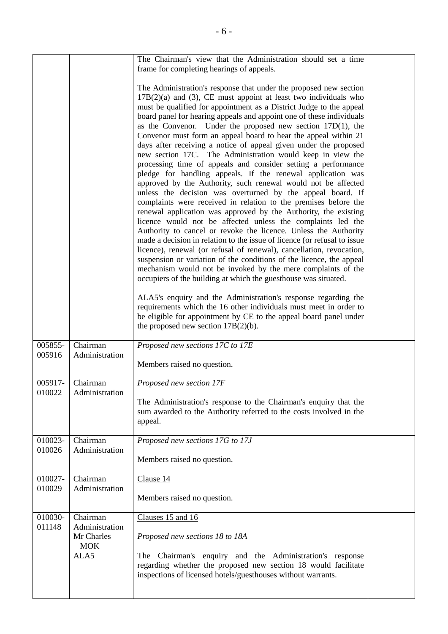|                   |                                                                | The Chairman's view that the Administration should set a time<br>frame for completing hearings of appeals.<br>The Administration's response that under the proposed new section<br>$17B(2)(a)$ and (3), CE must appoint at least two individuals who<br>must be qualified for appointment as a District Judge to the appeal<br>board panel for hearing appeals and appoint one of these individuals<br>as the Convenor. Under the proposed new section $17D(1)$ , the<br>Convenor must form an appeal board to hear the appeal within 21<br>days after receiving a notice of appeal given under the proposed<br>new section 17C. The Administration would keep in view the<br>processing time of appeals and consider setting a performance<br>pledge for handling appeals. If the renewal application was<br>approved by the Authority, such renewal would not be affected<br>unless the decision was overturned by the appeal board. If<br>complaints were received in relation to the premises before the<br>renewal application was approved by the Authority, the existing<br>licence would not be affected unless the complaints led the<br>Authority to cancel or revoke the licence. Unless the Authority<br>made a decision in relation to the issue of licence (or refusal to issue<br>licence), renewal (or refusal of renewal), cancellation, revocation,<br>suspension or variation of the conditions of the licence, the appeal<br>mechanism would not be invoked by the mere complaints of the<br>occupiers of the building at which the guesthouse was situated.<br>ALA5's enquiry and the Administration's response regarding the<br>requirements which the 16 other individuals must meet in order to<br>be eligible for appointment by CE to the appeal board panel under<br>the proposed new section $17B(2)(b)$ . |  |
|-------------------|----------------------------------------------------------------|----------------------------------------------------------------------------------------------------------------------------------------------------------------------------------------------------------------------------------------------------------------------------------------------------------------------------------------------------------------------------------------------------------------------------------------------------------------------------------------------------------------------------------------------------------------------------------------------------------------------------------------------------------------------------------------------------------------------------------------------------------------------------------------------------------------------------------------------------------------------------------------------------------------------------------------------------------------------------------------------------------------------------------------------------------------------------------------------------------------------------------------------------------------------------------------------------------------------------------------------------------------------------------------------------------------------------------------------------------------------------------------------------------------------------------------------------------------------------------------------------------------------------------------------------------------------------------------------------------------------------------------------------------------------------------------------------------------------------------------------------------------------------------------------------------------------------------------|--|
| 005855-           | Chairman                                                       | Proposed new sections 17C to 17E                                                                                                                                                                                                                                                                                                                                                                                                                                                                                                                                                                                                                                                                                                                                                                                                                                                                                                                                                                                                                                                                                                                                                                                                                                                                                                                                                                                                                                                                                                                                                                                                                                                                                                                                                                                                       |  |
| 005916            | Administration                                                 | Members raised no question.                                                                                                                                                                                                                                                                                                                                                                                                                                                                                                                                                                                                                                                                                                                                                                                                                                                                                                                                                                                                                                                                                                                                                                                                                                                                                                                                                                                                                                                                                                                                                                                                                                                                                                                                                                                                            |  |
| 005917-<br>010022 | Chairman<br>Administration                                     | Proposed new section 17F<br>The Administration's response to the Chairman's enquiry that the<br>sum awarded to the Authority referred to the costs involved in the<br>appeal.                                                                                                                                                                                                                                                                                                                                                                                                                                                                                                                                                                                                                                                                                                                                                                                                                                                                                                                                                                                                                                                                                                                                                                                                                                                                                                                                                                                                                                                                                                                                                                                                                                                          |  |
| 010023-           | Chairman                                                       | Proposed new sections 17G to 17J                                                                                                                                                                                                                                                                                                                                                                                                                                                                                                                                                                                                                                                                                                                                                                                                                                                                                                                                                                                                                                                                                                                                                                                                                                                                                                                                                                                                                                                                                                                                                                                                                                                                                                                                                                                                       |  |
| 010026            | Administration                                                 | Members raised no question.                                                                                                                                                                                                                                                                                                                                                                                                                                                                                                                                                                                                                                                                                                                                                                                                                                                                                                                                                                                                                                                                                                                                                                                                                                                                                                                                                                                                                                                                                                                                                                                                                                                                                                                                                                                                            |  |
| 010027-           | Chairman                                                       | Clause 14                                                                                                                                                                                                                                                                                                                                                                                                                                                                                                                                                                                                                                                                                                                                                                                                                                                                                                                                                                                                                                                                                                                                                                                                                                                                                                                                                                                                                                                                                                                                                                                                                                                                                                                                                                                                                              |  |
| 010029            | Administration                                                 | Members raised no question.                                                                                                                                                                                                                                                                                                                                                                                                                                                                                                                                                                                                                                                                                                                                                                                                                                                                                                                                                                                                                                                                                                                                                                                                                                                                                                                                                                                                                                                                                                                                                                                                                                                                                                                                                                                                            |  |
| 010030-<br>011148 | Chairman<br>Administration<br>Mr Charles<br><b>MOK</b><br>ALA5 | Clauses 15 and 16<br>Proposed new sections 18 to 18A<br>The Chairman's enquiry and the Administration's response<br>regarding whether the proposed new section 18 would facilitate<br>inspections of licensed hotels/guesthouses without warrants.                                                                                                                                                                                                                                                                                                                                                                                                                                                                                                                                                                                                                                                                                                                                                                                                                                                                                                                                                                                                                                                                                                                                                                                                                                                                                                                                                                                                                                                                                                                                                                                     |  |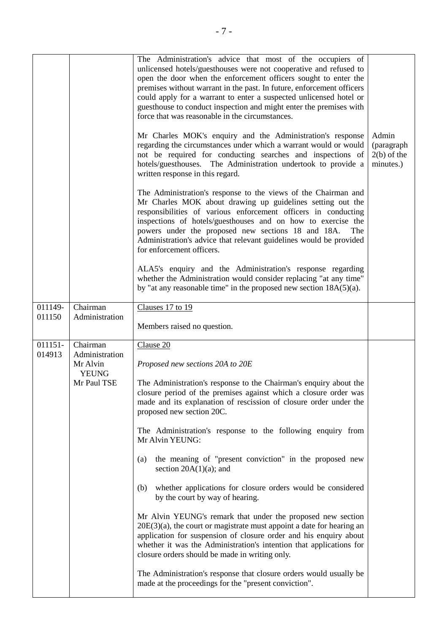|                   |                                                                       | The Administration's advice that most of the occupiers of<br>unlicensed hotels/guesthouses were not cooperative and refused to<br>open the door when the enforcement officers sought to enter the<br>premises without warrant in the past. In future, enforcement officers<br>could apply for a warrant to enter a suspected unlicensed hotel or<br>guesthouse to conduct inspection and might enter the premises with<br>force that was reasonable in the circumstances.                                                                                                                                                                                                                                                                                                                                                                                                                                                                                                                                                                                  |                                                   |
|-------------------|-----------------------------------------------------------------------|------------------------------------------------------------------------------------------------------------------------------------------------------------------------------------------------------------------------------------------------------------------------------------------------------------------------------------------------------------------------------------------------------------------------------------------------------------------------------------------------------------------------------------------------------------------------------------------------------------------------------------------------------------------------------------------------------------------------------------------------------------------------------------------------------------------------------------------------------------------------------------------------------------------------------------------------------------------------------------------------------------------------------------------------------------|---------------------------------------------------|
|                   |                                                                       | Mr Charles MOK's enquiry and the Administration's response<br>regarding the circumstances under which a warrant would or would<br>not be required for conducting searches and inspections of<br>hotels/guesthouses. The Administration undertook to provide a<br>written response in this regard.                                                                                                                                                                                                                                                                                                                                                                                                                                                                                                                                                                                                                                                                                                                                                          | Admin<br>(paragraph<br>$2(b)$ of the<br>minutes.) |
|                   |                                                                       | The Administration's response to the views of the Chairman and<br>Mr Charles MOK about drawing up guidelines setting out the<br>responsibilities of various enforcement officers in conducting<br>inspections of hotels/guesthouses and on how to exercise the<br>powers under the proposed new sections 18 and 18A.<br>The<br>Administration's advice that relevant guidelines would be provided<br>for enforcement officers.                                                                                                                                                                                                                                                                                                                                                                                                                                                                                                                                                                                                                             |                                                   |
|                   |                                                                       | ALA5's enquiry and the Administration's response regarding<br>whether the Administration would consider replacing "at any time"<br>by "at any reasonable time" in the proposed new section $18A(5)(a)$ .                                                                                                                                                                                                                                                                                                                                                                                                                                                                                                                                                                                                                                                                                                                                                                                                                                                   |                                                   |
| 011149-<br>011150 | Chairman<br>Administration                                            | Clauses 17 to 19<br>Members raised no question.                                                                                                                                                                                                                                                                                                                                                                                                                                                                                                                                                                                                                                                                                                                                                                                                                                                                                                                                                                                                            |                                                   |
| 011151-<br>014913 | Chairman<br>Administration<br>Mr Alvin<br><b>YEUNG</b><br>Mr Paul TSE | Clause 20<br>Proposed new sections 20A to 20E<br>The Administration's response to the Chairman's enquiry about the<br>closure period of the premises against which a closure order was<br>made and its explanation of rescission of closure order under the<br>proposed new section 20C.<br>The Administration's response to the following enquiry from<br>Mr Alvin YEUNG:<br>the meaning of "present conviction" in the proposed new<br>(a)<br>section $20A(1)(a)$ ; and<br>whether applications for closure orders would be considered<br>(b)<br>by the court by way of hearing.<br>Mr Alvin YEUNG's remark that under the proposed new section<br>$20E(3)(a)$ , the court or magistrate must appoint a date for hearing an<br>application for suspension of closure order and his enquiry about<br>whether it was the Administration's intention that applications for<br>closure orders should be made in writing only.<br>The Administration's response that closure orders would usually be<br>made at the proceedings for the "present conviction". |                                                   |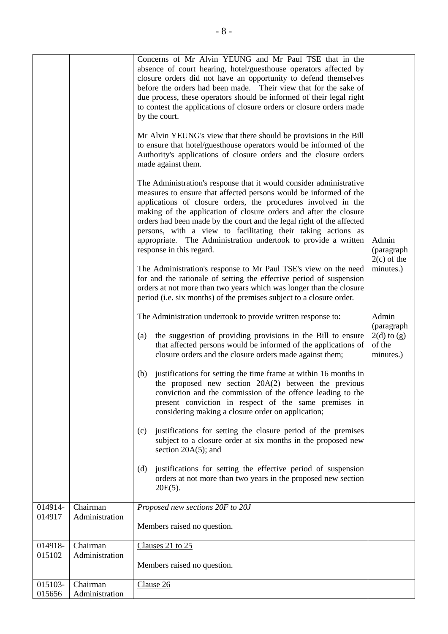|         |                | Concerns of Mr Alvin YEUNG and Mr Paul TSE that in the<br>absence of court hearing, hotel/guesthouse operators affected by<br>closure orders did not have an opportunity to defend themselves<br>before the orders had been made. Their view that for the sake of<br>due process, these operators should be informed of their legal right<br>to contest the applications of closure orders or closure orders made<br>by the court.<br>Mr Alvin YEUNG's view that there should be provisions in the Bill<br>to ensure that hotel/guesthouse operators would be informed of the<br>Authority's applications of closure orders and the closure orders<br>made against them.<br>The Administration's response that it would consider administrative<br>measures to ensure that affected persons would be informed of the<br>applications of closure orders, the procedures involved in the<br>making of the application of closure orders and after the closure<br>orders had been made by the court and the legal right of the affected<br>persons, with a view to facilitating their taking actions as<br>appropriate. The Administration undertook to provide a written<br>response in this regard.<br>The Administration's response to Mr Paul TSE's view on the need<br>for and the rationale of setting the effective period of suspension<br>orders at not more than two years which was longer than the closure<br>period (i.e. six months) of the premises subject to a closure order.<br>The Administration undertook to provide written response to:<br>the suggestion of providing provisions in the Bill to ensure<br>(a)<br>that affected persons would be informed of the applications of<br>closure orders and the closure orders made against them;<br>justifications for setting the time frame at within 16 months in<br>(b)<br>the proposed new section $20A(2)$ between the previous<br>conviction and the commission of the offence leading to the<br>present conviction in respect of the same premises in | Admin<br>(paragraph<br>$2(c)$ of the<br>minutes.)<br>Admin<br>(paragraph<br>$2(d)$ to $(g)$<br>of the<br>minutes.) |
|---------|----------------|-------------------------------------------------------------------------------------------------------------------------------------------------------------------------------------------------------------------------------------------------------------------------------------------------------------------------------------------------------------------------------------------------------------------------------------------------------------------------------------------------------------------------------------------------------------------------------------------------------------------------------------------------------------------------------------------------------------------------------------------------------------------------------------------------------------------------------------------------------------------------------------------------------------------------------------------------------------------------------------------------------------------------------------------------------------------------------------------------------------------------------------------------------------------------------------------------------------------------------------------------------------------------------------------------------------------------------------------------------------------------------------------------------------------------------------------------------------------------------------------------------------------------------------------------------------------------------------------------------------------------------------------------------------------------------------------------------------------------------------------------------------------------------------------------------------------------------------------------------------------------------------------------------------------------------------------------------------------------------------------------------------------------------|--------------------------------------------------------------------------------------------------------------------|
|         |                | considering making a closure order on application;                                                                                                                                                                                                                                                                                                                                                                                                                                                                                                                                                                                                                                                                                                                                                                                                                                                                                                                                                                                                                                                                                                                                                                                                                                                                                                                                                                                                                                                                                                                                                                                                                                                                                                                                                                                                                                                                                                                                                                            |                                                                                                                    |
|         |                | justifications for setting the closure period of the premises<br>(c)<br>subject to a closure order at six months in the proposed new<br>section $20A(5)$ ; and                                                                                                                                                                                                                                                                                                                                                                                                                                                                                                                                                                                                                                                                                                                                                                                                                                                                                                                                                                                                                                                                                                                                                                                                                                                                                                                                                                                                                                                                                                                                                                                                                                                                                                                                                                                                                                                                |                                                                                                                    |
|         |                | (d)<br>justifications for setting the effective period of suspension<br>orders at not more than two years in the proposed new section<br>$20E(5)$ .                                                                                                                                                                                                                                                                                                                                                                                                                                                                                                                                                                                                                                                                                                                                                                                                                                                                                                                                                                                                                                                                                                                                                                                                                                                                                                                                                                                                                                                                                                                                                                                                                                                                                                                                                                                                                                                                           |                                                                                                                    |
| 014914- | Chairman       | Proposed new sections 20F to 20J                                                                                                                                                                                                                                                                                                                                                                                                                                                                                                                                                                                                                                                                                                                                                                                                                                                                                                                                                                                                                                                                                                                                                                                                                                                                                                                                                                                                                                                                                                                                                                                                                                                                                                                                                                                                                                                                                                                                                                                              |                                                                                                                    |
| 014917  | Administration | Members raised no question.                                                                                                                                                                                                                                                                                                                                                                                                                                                                                                                                                                                                                                                                                                                                                                                                                                                                                                                                                                                                                                                                                                                                                                                                                                                                                                                                                                                                                                                                                                                                                                                                                                                                                                                                                                                                                                                                                                                                                                                                   |                                                                                                                    |
| 014918- | Chairman       | Clauses 21 to 25                                                                                                                                                                                                                                                                                                                                                                                                                                                                                                                                                                                                                                                                                                                                                                                                                                                                                                                                                                                                                                                                                                                                                                                                                                                                                                                                                                                                                                                                                                                                                                                                                                                                                                                                                                                                                                                                                                                                                                                                              |                                                                                                                    |
| 015102  | Administration | Members raised no question.                                                                                                                                                                                                                                                                                                                                                                                                                                                                                                                                                                                                                                                                                                                                                                                                                                                                                                                                                                                                                                                                                                                                                                                                                                                                                                                                                                                                                                                                                                                                                                                                                                                                                                                                                                                                                                                                                                                                                                                                   |                                                                                                                    |
| 015103- | Chairman       | Clause 26                                                                                                                                                                                                                                                                                                                                                                                                                                                                                                                                                                                                                                                                                                                                                                                                                                                                                                                                                                                                                                                                                                                                                                                                                                                                                                                                                                                                                                                                                                                                                                                                                                                                                                                                                                                                                                                                                                                                                                                                                     |                                                                                                                    |
| 015656  | Administration |                                                                                                                                                                                                                                                                                                                                                                                                                                                                                                                                                                                                                                                                                                                                                                                                                                                                                                                                                                                                                                                                                                                                                                                                                                                                                                                                                                                                                                                                                                                                                                                                                                                                                                                                                                                                                                                                                                                                                                                                                               |                                                                                                                    |